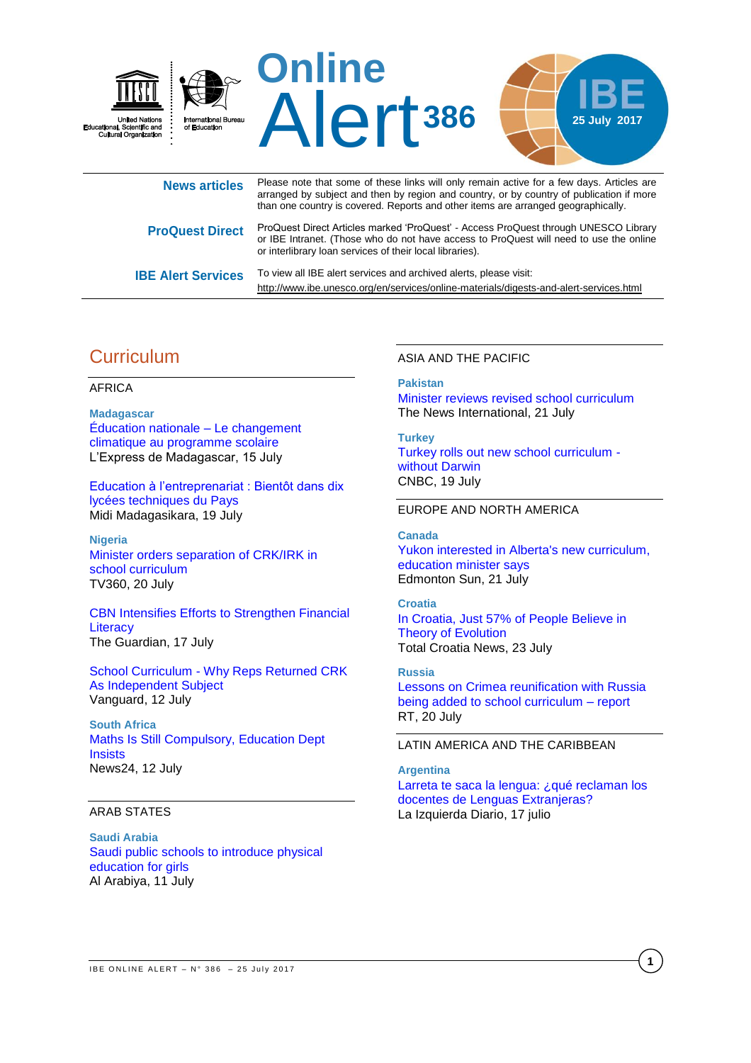

|                           | arranged by subject and then by region and country, or by country of publication if more<br>than one country is covered. Reports and other items are arranged geographically.                                                             |
|---------------------------|-------------------------------------------------------------------------------------------------------------------------------------------------------------------------------------------------------------------------------------------|
| <b>ProQuest Direct</b>    | ProQuest Direct Articles marked 'ProQuest' - Access ProQuest through UNESCO Library<br>or IBE Intranet. (Those who do not have access to ProQuest will need to use the online<br>or interlibrary loan services of their local libraries). |
| <b>IBE Alert Services</b> | To view all IBE alert services and archived alerts, please visit:                                                                                                                                                                         |

# **Curriculum**

#### AFRICA

**Madagascar**  [Éducation nationale – Le changement](http://www.lexpressmada.com/blog/actualites/education-nationale-le-changement-climatique-au-programme-scolaire/)  [climatique au programme scolaire](http://www.lexpressmada.com/blog/actualites/education-nationale-le-changement-climatique-au-programme-scolaire/) L'Express de Madagascar, 15 July

[Education à l'entreprenariat : Bientôt dans dix](http://www.midi-madagasikara.mg/societe/2017/07/19/education-a-lentrepreunariat-bientot-dans-dix-lycees-techniques-du-pays/)  [lycées techniques du Pays](http://www.midi-madagasikara.mg/societe/2017/07/19/education-a-lentrepreunariat-bientot-dans-dix-lycees-techniques-du-pays/) Midi Madagasikara, 19 July

**Nigeria**  [Minister orders separation of CRK/IRK in](http://www.tv360nigeria.com/minister-orders-separation-crkirk-school-curriculum/)  [school curriculum](http://www.tv360nigeria.com/minister-orders-separation-crkirk-school-curriculum/)  TV360, 20 July

[CBN Intensifies Efforts to Strengthen Financial](http://allafrica.com/stories/201707170133.html)  **Literacy** The Guardian, 17 July

[School Curriculum - Why Reps Returned CRK](http://allafrica.com/stories/201707120569.html)  [As Independent Subject](http://allafrica.com/stories/201707120569.html) Vanguard, 12 July

**South Africa**  [Maths Is Still Compulsory, Education Dept](http://allafrica.com/stories/201707120759.html)  **[Insists](http://allafrica.com/stories/201707120759.html)** News24, 12 July

#### ARAB STATES

**Saudi Arabia**  [Saudi public schools to introduce physical](http://english.alarabiya.net/en/variety/2017/07/11/Saudi-public-schools-to-introduce-physical-education-for-girls.html)  [education for girls](http://english.alarabiya.net/en/variety/2017/07/11/Saudi-public-schools-to-introduce-physical-education-for-girls.html) Al Arabiya, 11 July

### ASIA AND THE PACIFIC

<http://www.ibe.unesco.org/en/services/online-materials/digests-and-alert-services.html>

**Pakistan**  [Minister reviews revised school curriculum](https://www.thenews.com.pk/print/217751-Minister-reviews-revised-school-curriculum) The News International, 21 July

**Turkey**  [Turkey rolls out new school curriculum](http://www.cnbc.com/2017/07/19/turkey-new-school-curriculum-charles-darwin-evolution.html)  [without Darwin](http://www.cnbc.com/2017/07/19/turkey-new-school-curriculum-charles-darwin-evolution.html)  CNBC, 19 July

#### EUROPE AND NORTH AMERICA

#### **Canada**

[Yukon interested in Alberta's new curriculum,](http://www.edmontonsun.com/2017/07/21/yukon-interested-in-albertas-new-curriculum-education-minister-says)  [education minister says](http://www.edmontonsun.com/2017/07/21/yukon-interested-in-albertas-new-curriculum-education-minister-says) Edmonton Sun, 21 July

#### **Croatia**

[In Croatia, Just 57% of People Believe in](http://www.total-croatia-news.com/politics/20631-in-croatia-just-57-of-people-believe-in-theory-of-evolution)  [Theory of Evolution](http://www.total-croatia-news.com/politics/20631-in-croatia-just-57-of-people-believe-in-theory-of-evolution)  Total Croatia News, 23 July

#### **Russia**

[Lessons on Crimea reunification with Russia](https://www.rt.com/politics/396904-lessons-on-crimea-reunification-with/)  [being added to school curriculum – report](https://www.rt.com/politics/396904-lessons-on-crimea-reunification-with/)  RT, 20 July

#### LATIN AMERICA AND THE CARIBBEAN

**Argentina**  Larreta te saca la lengua: ¿qué reclaman los [docentes de Lenguas Extranjeras?](https://www.laizquierdadiario.com/Larreta-te-saca-la-lengua-que-reclaman-los-docentes-de-Lenguas-Extranjeras) La Izquierda Diario, 17 julio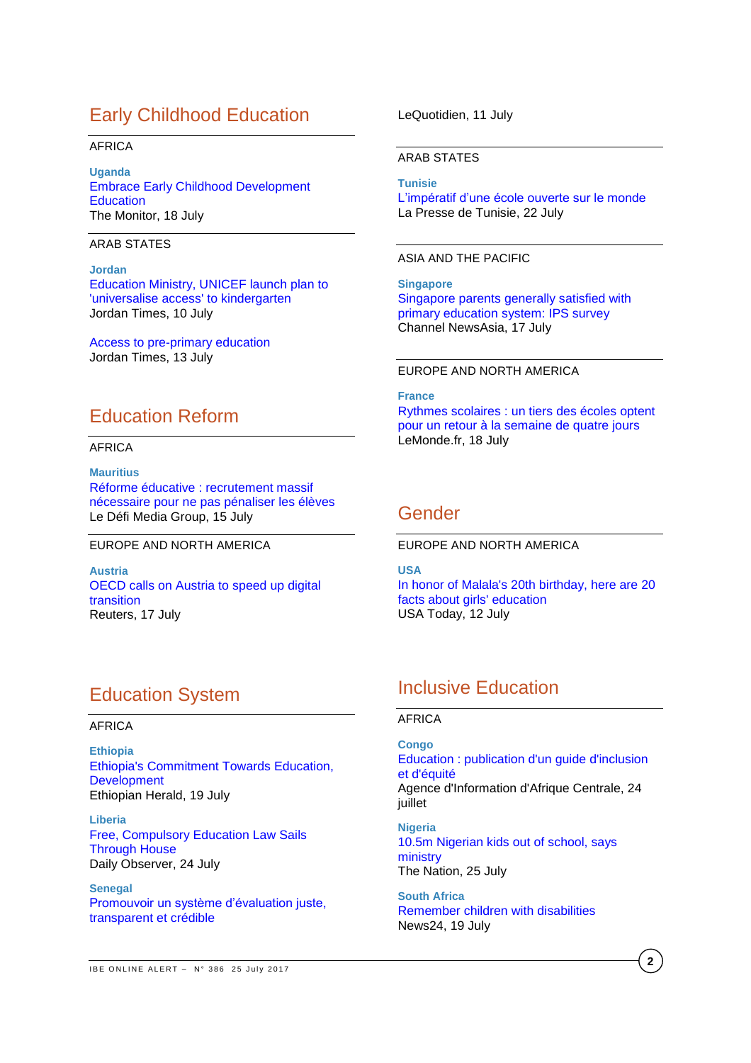# Early Childhood Education

### AFRICA

**Uganda** [Embrace Early Childhood Development](http://allafrica.com/stories/201707180301.html)  **[Education](http://allafrica.com/stories/201707180301.html)** The Monitor, 18 July

ARAB STATES

**Jordan** [Education Ministry, UNICEF launch plan to](http://www.jordantimes.com/news/local/education-ministry-unicef-launch-plan-universalise-access%E2%80%99-kindergarten)  ['universalise access' to kindergarten](http://www.jordantimes.com/news/local/education-ministry-unicef-launch-plan-universalise-access%E2%80%99-kindergarten) Jordan Times, 10 July

[Access to pre-primary education](http://www.jordantimes.com/opinion/editorial/access-pre-primary-education) Jordan Times, 13 July

# Education Reform

### AFRICA

**Mauritius** [Réforme éducative : recrutement massif](http://defimedia.info/reforme-educative-recrutement-massif-necessaire-pour-ne-pas-penaliser-les-eleves)  [nécessaire pour ne pas pénaliser les élèves](http://defimedia.info/reforme-educative-recrutement-massif-necessaire-pour-ne-pas-penaliser-les-eleves) Le Défi Media Group, 15 July

#### EUROPE AND NORTH AMERICA

**Austria**  [OECD calls on Austria to speed up digital](http://www.reuters.com/article/us-oecd-austria-idUSKBN1A20PW?il=0)  [transition](http://www.reuters.com/article/us-oecd-austria-idUSKBN1A20PW?il=0) Reuters, 17 July

# Education System

### AFRICA

**Ethiopia** [Ethiopia's Commitment Towards Education,](http://allafrica.com/stories/201707190504.html)  **[Development](http://allafrica.com/stories/201707190504.html)** Ethiopian Herald, 19 July

**Liberia** [Free, Compulsory Education Law Sails](http://allafrica.com/stories/201707240192.html)  [Through](http://allafrica.com/stories/201707240192.html) House Daily Observer, 24 July

**Senegal** [Promouvoir un système d'évaluation juste,](http://www.lequotidien.sn/promouvoir-un-systeme-devaluation-juste-transparent-et-credible/)  [transparent et crédible](http://www.lequotidien.sn/promouvoir-un-systeme-devaluation-juste-transparent-et-credible/)

LeQuotidien, 11 July

#### ARAB STATES

**Tunisie**

[L'impératif d'une école ouverte sur le monde](http://www.lapresse.tn/component/jeux/index.php?option=com_nationals&task=article&id=133894) La Presse de Tunisie, 22 July

#### ASIA AND THE PACIFIC

**Singapore** [Singapore parents generally satisfied with](http://www.channelnewsasia.com/news/singapore/singapore-parents-generally-satisfied-with-primary-education-9027844)  primary education [system: IPS survey](http://www.channelnewsasia.com/news/singapore/singapore-parents-generally-satisfied-with-primary-education-9027844) Channel NewsAsia, 17 July

## EUROPE AND NORTH AMERICA

**France** [Rythmes scolaires : un tiers des écoles optent](http://www.lemonde.fr/education/article/2017/07/18/un-tiers-des-ecoles-reviendront-a-la-semaine-de-4-jours-a-la-rentree-2017_5162052_1473685.html)  [pour un retour à la semaine de quatre jours](http://www.lemonde.fr/education/article/2017/07/18/un-tiers-des-ecoles-reviendront-a-la-semaine-de-4-jours-a-la-rentree-2017_5162052_1473685.html) LeMonde.fr, 18 July

# Gender

EUROPE AND NORTH AMERICA

**USA** [In honor of Malala's 20th birthday, here are 20](http://college.usatoday.com/2017/07/12/in-honor-of-malalas-20th-birthday-here-are-20-facts-about-girls-education/)  [facts about girls' education](http://college.usatoday.com/2017/07/12/in-honor-of-malalas-20th-birthday-here-are-20-facts-about-girls-education/) USA Today, 12 July

# Inclusive Education

#### AFRICA

**Congo** [Education : publication d'un guide d'inclusion](http://www.adiac-congo.com/node/67273)  [et d'équité](http://www.adiac-congo.com/node/67273) Agence d'Information d'Afrique Centrale, 24 juillet

**Nigeria** [10.5m Nigerian kids out of school, says](http://thenationonlineng.net/10-5m-nigerian-kids-school-says-ministry/)  [ministry](http://thenationonlineng.net/10-5m-nigerian-kids-school-says-ministry/) The Nation, 25 July

**South Africa** [Remember children with disabilities](http://www.news24.com/SouthAfrica/Local/Greytown-Gazette/remember-children-with-disabilities-20170718) News24, 19 July

**2**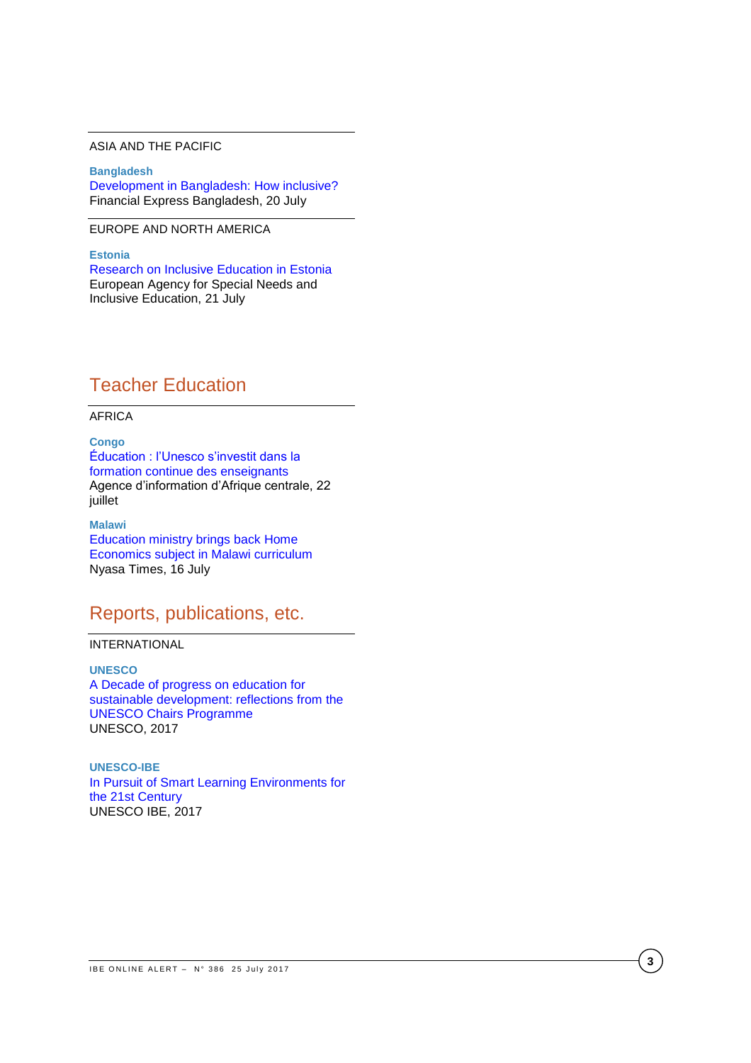## ASIA AND THE PACIFIC

**Bangladesh** [Development in Bangladesh: How inclusive?](http://www.thefinancialexpress-bd.com/2017/07/20/77521/Development-in-Bangladesh:-How-inclusive) Financial Express Bangladesh, 20 July

## EUROPE AND NORTH AMERICA

**Estonia**  [Research on Inclusive Education in Estonia](https://www.european-agency.org/news/research-on-inclusive-education-in-estonia) European Agency for Special Needs and Inclusive Education, 21 July

# Teacher Education

#### AFRICA

**Congo** [Éducation : l'Unesco s'investit dans la](http://adiac-congo.com/content/education-lunesco-sinvestit-dans-la-formation-continue-des-enseignants-67158)  [formation continue des enseignants](http://adiac-congo.com/content/education-lunesco-sinvestit-dans-la-formation-continue-des-enseignants-67158) Agence d'information d'Afrique centrale, 22 juillet

**Malawi** [Education ministry brings back Home](https://www.nyasatimes.com/education-ministry-brings-back-home-economics-subject-malawi-curriculum/)  [Economics subject in Malawi curriculum](https://www.nyasatimes.com/education-ministry-brings-back-home-economics-subject-malawi-curriculum/) Nyasa Times, 16 July

# Reports, publications, etc.

## INTERNATIONAL

**UNESCO** [A Decade of progress on education for](http://unesdoc.unesco.org/images/0025/002523/252319e.pdf)  [sustainable development: reflections from the](http://unesdoc.unesco.org/images/0025/002523/252319e.pdf)  [UNESCO Chairs Programme](http://unesdoc.unesco.org/images/0025/002523/252319e.pdf) UNESCO, 2017

**UNESCO-IBE** [In Pursuit of Smart Learning Environments for](http://unesdoc.unesco.org/images/0025/002523/252335E.pdf)  [the 21st Century](http://unesdoc.unesco.org/images/0025/002523/252335E.pdf) UNESCO IBE, 2017